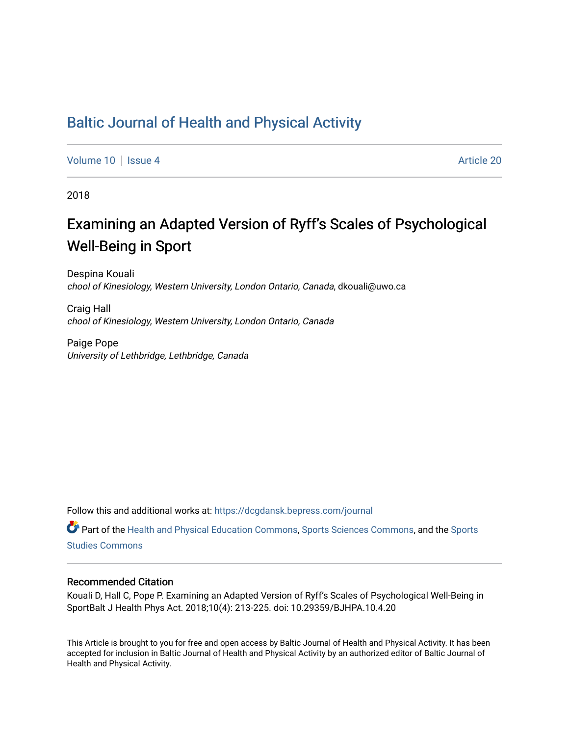# [Baltic Journal of Health and Physical Activity](https://dcgdansk.bepress.com/journal)

[Volume 10](https://dcgdansk.bepress.com/journal/vol10) | [Issue 4](https://dcgdansk.bepress.com/journal/vol10/iss4) Article 20

2018

# Examining an Adapted Version of Ryff's Scales of Psychological Well-Being in Sport

Despina Kouali chool of Kinesiology, Western University, London Ontario, Canada, dkouali@uwo.ca

Craig Hall chool of Kinesiology, Western University, London Ontario, Canada

Paige Pope University of Lethbridge, Lethbridge, Canada

Follow this and additional works at: [https://dcgdansk.bepress.com/journal](https://dcgdansk.bepress.com/journal?utm_source=dcgdansk.bepress.com%2Fjournal%2Fvol10%2Fiss4%2F20&utm_medium=PDF&utm_campaign=PDFCoverPages)

Part of the [Health and Physical Education Commons](http://network.bepress.com/hgg/discipline/1327?utm_source=dcgdansk.bepress.com%2Fjournal%2Fvol10%2Fiss4%2F20&utm_medium=PDF&utm_campaign=PDFCoverPages), [Sports Sciences Commons](http://network.bepress.com/hgg/discipline/759?utm_source=dcgdansk.bepress.com%2Fjournal%2Fvol10%2Fiss4%2F20&utm_medium=PDF&utm_campaign=PDFCoverPages), and the [Sports](http://network.bepress.com/hgg/discipline/1198?utm_source=dcgdansk.bepress.com%2Fjournal%2Fvol10%2Fiss4%2F20&utm_medium=PDF&utm_campaign=PDFCoverPages)  [Studies Commons](http://network.bepress.com/hgg/discipline/1198?utm_source=dcgdansk.bepress.com%2Fjournal%2Fvol10%2Fiss4%2F20&utm_medium=PDF&utm_campaign=PDFCoverPages) 

### Recommended Citation

Kouali D, Hall C, Pope P. Examining an Adapted Version of Ryff's Scales of Psychological Well-Being in SportBalt J Health Phys Act. 2018;10(4): 213-225. doi: 10.29359/BJHPA.10.4.20

This Article is brought to you for free and open access by Baltic Journal of Health and Physical Activity. It has been accepted for inclusion in Baltic Journal of Health and Physical Activity by an authorized editor of Baltic Journal of Health and Physical Activity.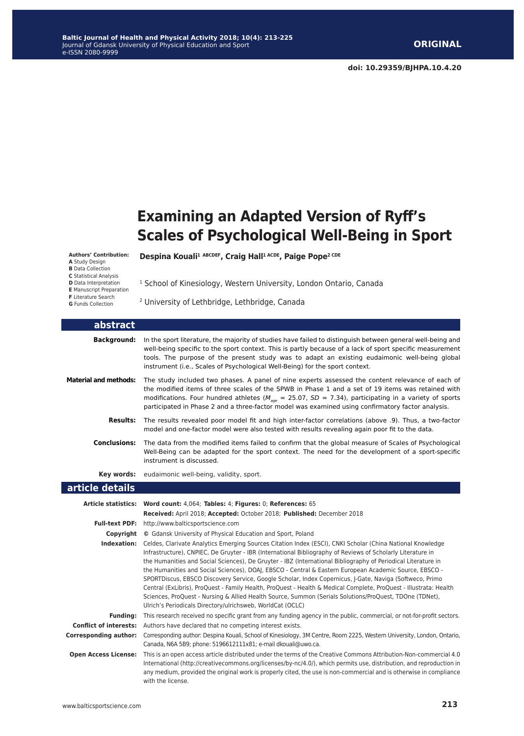# **Examining an Adapted Version of Ryff's Scales of Psychological Well-Being in Sport**

**Authors' Contribution:**

- 
- **A** Study Design **B** Data Collection
- **C** Statistical Analysis
- **D** Data Interpretation **E** Manuscript Preparation

**F** Literature Search

**G** Funds Collection

**Despina Kouali1 ABCDEF, Craig Hall1 ACDE, Paige Pope2 CDE**

<sup>1</sup> School of Kinesiology, Western University, London Ontario, Canada

2 University of Lethbridge, Lethbridge, Canada

| abstract                                                                     |                                                                                                                                                                                                                                                                                                                                                                                                                                                                                                                                                                                                                                                                                                                                                 |  |  |  |
|------------------------------------------------------------------------------|-------------------------------------------------------------------------------------------------------------------------------------------------------------------------------------------------------------------------------------------------------------------------------------------------------------------------------------------------------------------------------------------------------------------------------------------------------------------------------------------------------------------------------------------------------------------------------------------------------------------------------------------------------------------------------------------------------------------------------------------------|--|--|--|
| <b>Background:</b>                                                           | In the sport literature, the majority of studies have failed to distinguish between general well-being and<br>well-being specific to the sport context. This is partly because of a lack of sport specific measurement<br>tools. The purpose of the present study was to adapt an existing eudaimonic well-being global<br>instrument (i.e., Scales of Psychological Well-Being) for the sport context.                                                                                                                                                                                                                                                                                                                                         |  |  |  |
| <b>Material and methods:</b>                                                 | The study included two phases. A panel of nine experts assessed the content relevance of each of<br>the modified items of three scales of the SPWB in Phase 1 and a set of 19 items was retained with<br>modifications. Four hundred athletes ( $M_{age}$ = 25.07, SD = 7.34), participating in a variety of sports<br>participated in Phase 2 and a three-factor model was examined using confirmatory factor analysis.                                                                                                                                                                                                                                                                                                                        |  |  |  |
| <b>Results:</b>                                                              | The results revealed poor model fit and high inter-factor correlations (above .9). Thus, a two-factor<br>model and one-factor model were also tested with results revealing again poor fit to the data.                                                                                                                                                                                                                                                                                                                                                                                                                                                                                                                                         |  |  |  |
| <b>Conclusions:</b>                                                          | The data from the modified items failed to confirm that the global measure of Scales of Psychological<br>Well-Being can be adapted for the sport context. The need for the development of a sport-specific<br>instrument is discussed.                                                                                                                                                                                                                                                                                                                                                                                                                                                                                                          |  |  |  |
| Key words:                                                                   | eudaimonic well-being, validity, sport.                                                                                                                                                                                                                                                                                                                                                                                                                                                                                                                                                                                                                                                                                                         |  |  |  |
| article details                                                              |                                                                                                                                                                                                                                                                                                                                                                                                                                                                                                                                                                                                                                                                                                                                                 |  |  |  |
|                                                                              |                                                                                                                                                                                                                                                                                                                                                                                                                                                                                                                                                                                                                                                                                                                                                 |  |  |  |
| Article statistics: Word count: 4,064; Tables: 4; Figures: 0; References: 65 |                                                                                                                                                                                                                                                                                                                                                                                                                                                                                                                                                                                                                                                                                                                                                 |  |  |  |
|                                                                              | Received: April 2018; Accepted: October 2018; Published: December 2018                                                                                                                                                                                                                                                                                                                                                                                                                                                                                                                                                                                                                                                                          |  |  |  |
|                                                                              | Full-text PDF: http://www.balticsportscience.com                                                                                                                                                                                                                                                                                                                                                                                                                                                                                                                                                                                                                                                                                                |  |  |  |
| Indexation:                                                                  | <b>Copyright</b> © Gdansk University of Physical Education and Sport, Poland<br>Celdes, Clarivate Analytics Emerging Sources Citation Index (ESCI), CNKI Scholar (China National Knowledge                                                                                                                                                                                                                                                                                                                                                                                                                                                                                                                                                      |  |  |  |
|                                                                              | Infrastructure), CNPIEC, De Gruyter - IBR (International Bibliography of Reviews of Scholarly Literature in<br>the Humanities and Social Sciences), De Gruyter - IBZ (International Bibliography of Periodical Literature in<br>the Humanities and Social Sciences), DOAJ, EBSCO - Central & Eastern European Academic Source, EBSCO -<br>SPORTDiscus, EBSCO Discovery Service, Google Scholar, Index Copernicus, J-Gate, Naviga (Softweco, Primo<br>Central (ExLibris), ProQuest - Family Health, ProQuest - Health & Medical Complete, ProQuest - Illustrata: Health<br>Sciences, ProQuest - Nursing & Allied Health Source, Summon (Serials Solutions/ProQuest, TDOne (TDNet),<br>Ulrich's Periodicals Directory/ulrichsweb, WorldCat (OCLC) |  |  |  |
| <b>Funding:</b>                                                              | This research received no specific grant from any funding agency in the public, commercial, or not-for-profit sectors.                                                                                                                                                                                                                                                                                                                                                                                                                                                                                                                                                                                                                          |  |  |  |
|                                                                              | <b>Conflict of interests:</b> Authors have declared that no competing interest exists.                                                                                                                                                                                                                                                                                                                                                                                                                                                                                                                                                                                                                                                          |  |  |  |
| <b>Corresponding author:</b>                                                 | Corresponding author: Despina Kouali, School of Kinesiology, 3M Centre, Room 2225, Western University, London, Ontario,<br>Canada, N6A 5B9; phone: 5196612111x81; e-mail dkouali@uwo.ca.                                                                                                                                                                                                                                                                                                                                                                                                                                                                                                                                                        |  |  |  |
|                                                                              |                                                                                                                                                                                                                                                                                                                                                                                                                                                                                                                                                                                                                                                                                                                                                 |  |  |  |

any medium, provided the original work is properly cited, the use is non-commercial and is otherwise in compliance

with the license.

**213**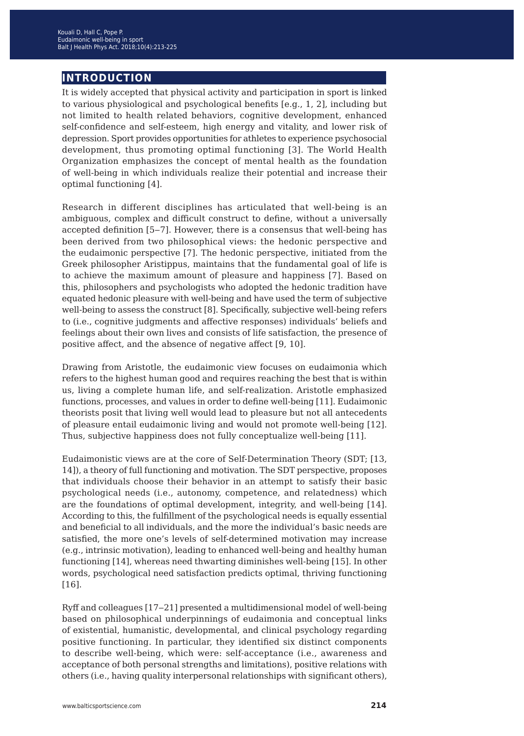# **introduction**

It is widely accepted that physical activity and participation in sport is linked to various physiological and psychological benefits [e.g., 1, 2], including but not limited to health related behaviors, cognitive development, enhanced self-confidence and self-esteem, high energy and vitality, and lower risk of depression. Sport provides opportunities for athletes to experience psychosocial development, thus promoting optimal functioning [3]. The World Health Organization emphasizes the concept of mental health as the foundation of well-being in which individuals realize their potential and increase their optimal functioning [4].

Research in different disciplines has articulated that well-being is an ambiguous, complex and difficult construct to define, without a universally accepted definition [5‒7]. However, there is a consensus that well-being has been derived from two philosophical views: the hedonic perspective and the eudaimonic perspective [7]. The hedonic perspective, initiated from the Greek philosopher Aristippus, maintains that the fundamental goal of life is to achieve the maximum amount of pleasure and happiness [7]. Based on this, philosophers and psychologists who adopted the hedonic tradition have equated hedonic pleasure with well-being and have used the term of subjective well-being to assess the construct [8]. Specifically, subjective well-being refers to (i.e., cognitive judgments and affective responses) individuals' beliefs and feelings about their own lives and consists of life satisfaction, the presence of positive affect, and the absence of negative affect [9, 10].

Drawing from Aristotle, the eudaimonic view focuses on eudaimonia which refers to the highest human good and requires reaching the best that is within us, living a complete human life, and self-realization. Aristotle emphasized functions, processes, and values in order to define well-being [11]. Eudaimonic theorists posit that living well would lead to pleasure but not all antecedents of pleasure entail eudaimonic living and would not promote well-being [12]. Thus, subjective happiness does not fully conceptualize well-being [11].

Eudaimonistic views are at the core of Self-Determination Theory (SDT; [13, 14]), a theory of full functioning and motivation. The SDT perspective, proposes that individuals choose their behavior in an attempt to satisfy their basic psychological needs (i.e., autonomy, competence, and relatedness) which are the foundations of optimal development, integrity, and well-being [14]. According to this, the fulfillment of the psychological needs is equally essential and beneficial to all individuals, and the more the individual's basic needs are satisfied, the more one's levels of self-determined motivation may increase (e.g., intrinsic motivation), leading to enhanced well-being and healthy human functioning [14], whereas need thwarting diminishes well-being [15]. In other words, psychological need satisfaction predicts optimal, thriving functioning [16].

Ryff and colleagues [17‒21] presented a multidimensional model of well-being based on philosophical underpinnings of eudaimonia and conceptual links of existential, humanistic, developmental, and clinical psychology regarding positive functioning. In particular, they identified six distinct components to describe well-being, which were: self-acceptance (i.e., awareness and acceptance of both personal strengths and limitations), positive relations with others (i.e., having quality interpersonal relationships with significant others),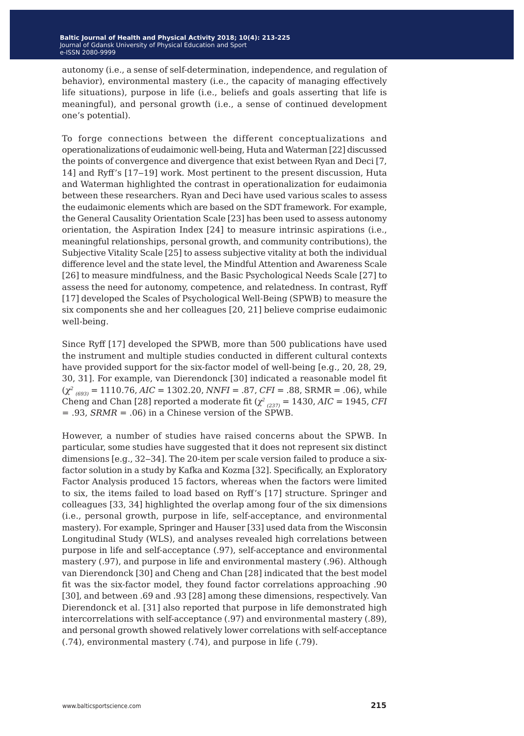autonomy (i.e., a sense of self-determination, independence, and regulation of behavior), environmental mastery (i.e., the capacity of managing effectively life situations), purpose in life (i.e., beliefs and goals asserting that life is meaningful), and personal growth (i.e., a sense of continued development one's potential).

To forge connections between the different conceptualizations and operationalizations of eudaimonic well-being, Huta and Waterman [22] discussed the points of convergence and divergence that exist between Ryan and Deci [7, 14] and Ryff's [17‒19] work. Most pertinent to the present discussion, Huta and Waterman highlighted the contrast in operationalization for eudaimonia between these researchers. Ryan and Deci have used various scales to assess the eudaimonic elements which are based on the SDT framework. For example, the General Causality Orientation Scale [23] has been used to assess autonomy orientation, the Aspiration Index [24] to measure intrinsic aspirations (i.e., meaningful relationships, personal growth, and community contributions), the Subjective Vitality Scale [25] to assess subjective vitality at both the individual difference level and the state level, the Mindful Attention and Awareness Scale [26] to measure mindfulness, and the Basic Psychological Needs Scale [27] to assess the need for autonomy, competence, and relatedness. In contrast, Ryff [17] developed the Scales of Psychological Well-Being (SPWB) to measure the six components she and her colleagues [20, 21] believe comprise eudaimonic well-being.

Since Ryff [17] developed the SPWB, more than 500 publications have used the instrument and multiple studies conducted in different cultural contexts have provided support for the six-factor model of well-being [e.g., 20, 28, 29, 30, 31]. For example, van Dierendonck [30] indicated a reasonable model fit (*χ<sup>2</sup> (693)* = 1110.76, *AIC* = 1302.20, *NNFI* = .87, *CFI* = .88, SRMR = .06), while Cheng and Chan [28] reported a moderate fit ( $\chi^2_{(237)}$  = 1430, *AIC* = 1945, *CFI* = .93, *SRMR* = .06) in a Chinese version of the SPWB.

However, a number of studies have raised concerns about the SPWB. In particular, some studies have suggested that it does not represent six distinct dimensions [e.g., 32-34]. The 20-item per scale version failed to produce a sixfactor solution in a study by Kafka and Kozma [32]. Specifically, an Exploratory Factor Analysis produced 15 factors, whereas when the factors were limited to six, the items failed to load based on Ryff's [17] structure. Springer and colleagues [33, 34] highlighted the overlap among four of the six dimensions (i.e., personal growth, purpose in life, self-acceptance, and environmental mastery). For example, Springer and Hauser [33] used data from the Wisconsin Longitudinal Study (WLS), and analyses revealed high correlations between purpose in life and self-acceptance (.97), self-acceptance and environmental mastery (.97), and purpose in life and environmental mastery (.96). Although van Dierendonck [30] and Cheng and Chan [28] indicated that the best model fit was the six-factor model, they found factor correlations approaching .90 [30], and between .69 and .93 [28] among these dimensions, respectively. Van Dierendonck et al. [31] also reported that purpose in life demonstrated high intercorrelations with self-acceptance (.97) and environmental mastery (.89), and personal growth showed relatively lower correlations with self-acceptance (.74), environmental mastery (.74), and purpose in life (.79).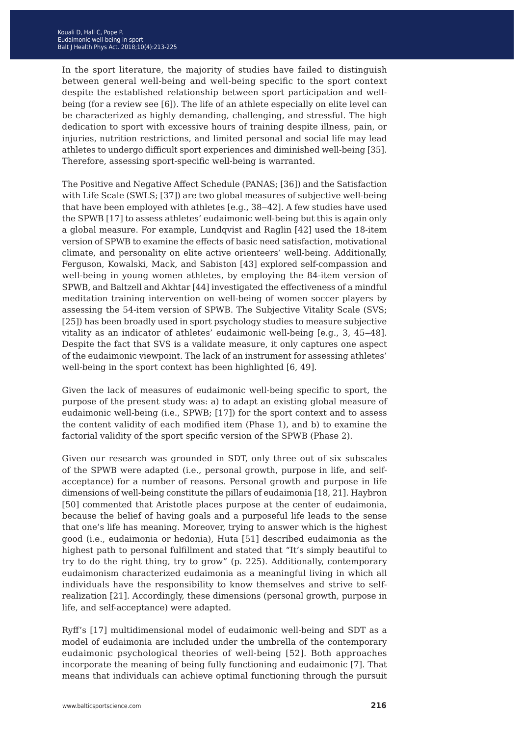In the sport literature, the majority of studies have failed to distinguish between general well-being and well-being specific to the sport context despite the established relationship between sport participation and wellbeing (for a review see [6]). The life of an athlete especially on elite level can be characterized as highly demanding, challenging, and stressful. The high dedication to sport with excessive hours of training despite illness, pain, or injuries, nutrition restrictions, and limited personal and social life may lead athletes to undergo difficult sport experiences and diminished well-being [35]. Therefore, assessing sport-specific well-being is warranted.

The Positive and Negative Affect Schedule (PANAS; [36]) and the Satisfaction with Life Scale (SWLS; [37]) are two global measures of subjective well-being that have been employed with athletes [e.g., 38-42]. A few studies have used the SPWB [17] to assess athletes' eudaimonic well-being but this is again only a global measure. For example, Lundqvist and Raglin [42] used the 18-item version of SPWB to examine the effects of basic need satisfaction, motivational climate, and personality on elite active orienteers' well-being. Additionally, Ferguson, Kowalski, Mack, and Sabiston [43] explored self-compassion and well-being in young women athletes, by employing the 84-item version of SPWB, and Baltzell and Akhtar [44] investigated the effectiveness of a mindful meditation training intervention on well-being of women soccer players by assessing the 54-item version of SPWB. The Subjective Vitality Scale (SVS; [25]) has been broadly used in sport psychology studies to measure subjective vitality as an indicator of athletes' eudaimonic well-being [e.g., 3, 45–48]. Despite the fact that SVS is a validate measure, it only captures one aspect of the eudaimonic viewpoint. The lack of an instrument for assessing athletes' well-being in the sport context has been highlighted [6, 49].

Given the lack of measures of eudaimonic well-being specific to sport, the purpose of the present study was: a) to adapt an existing global measure of eudaimonic well-being (i.e., SPWB; [17]) for the sport context and to assess the content validity of each modified item (Phase 1), and b) to examine the factorial validity of the sport specific version of the SPWB (Phase 2).

Given our research was grounded in SDT, only three out of six subscales of the SPWB were adapted (i.e., personal growth, purpose in life, and selfacceptance) for a number of reasons. Personal growth and purpose in life dimensions of well-being constitute the pillars of eudaimonia [18, 21]. Haybron [50] commented that Aristotle places purpose at the center of eudaimonia, because the belief of having goals and a purposeful life leads to the sense that one's life has meaning. Moreover, trying to answer which is the highest good (i.e., eudaimonia or hedonia), Huta [51] described eudaimonia as the highest path to personal fulfillment and stated that "It's simply beautiful to try to do the right thing, try to grow" (p. 225). Additionally, contemporary eudaimonism characterized eudaimonia as a meaningful living in which all individuals have the responsibility to know themselves and strive to selfrealization [21]. Accordingly, these dimensions (personal growth, purpose in life, and self-acceptance) were adapted.

Ryff's [17] multidimensional model of eudaimonic well-being and SDT as a model of eudaimonia are included under the umbrella of the contemporary eudaimonic psychological theories of well-being [52]. Both approaches incorporate the meaning of being fully functioning and eudaimonic [7]. That means that individuals can achieve optimal functioning through the pursuit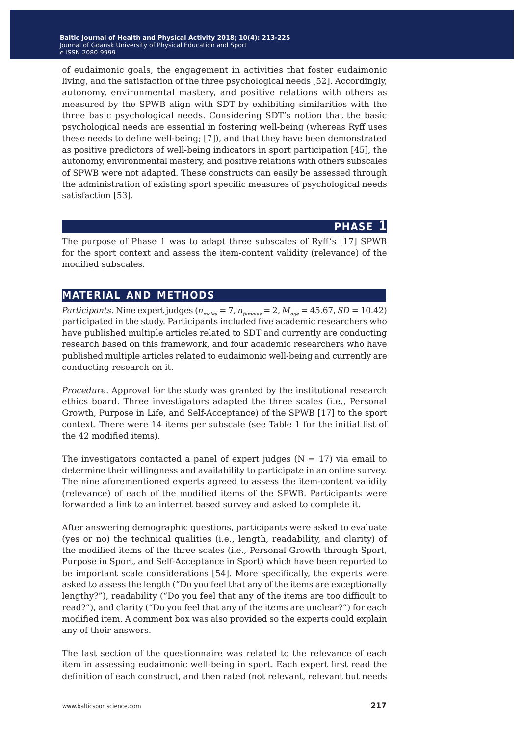of eudaimonic goals, the engagement in activities that foster eudaimonic living, and the satisfaction of the three psychological needs [52]. Accordingly, autonomy, environmental mastery, and positive relations with others as measured by the SPWB align with SDT by exhibiting similarities with the three basic psychological needs. Considering SDT's notion that the basic psychological needs are essential in fostering well-being (whereas Ryff uses these needs to define well-being; [7]), and that they have been demonstrated as positive predictors of well-being indicators in sport participation [45], the autonomy, environmental mastery, and positive relations with others subscales of SPWB were not adapted. These constructs can easily be assessed through the administration of existing sport specific measures of psychological needs satisfaction [53].

## **phase 1**

The purpose of Phase 1 was to adapt three subscales of Ryff's [17] SPWB for the sport context and assess the item-content validity (relevance) of the modified subscales.

## **material and methods**

*Participants.* Nine expert judges ( $n_{males} = 7$ ,  $n_{females} = 2$ ,  $M_{age} = 45.67$ , *SD* = 10.42) participated in the study. Participants included five academic researchers who have published multiple articles related to SDT and currently are conducting research based on this framework, and four academic researchers who have published multiple articles related to eudaimonic well-being and currently are conducting research on it.

*Procedure.* Approval for the study was granted by the institutional research ethics board. Three investigators adapted the three scales (i.e., Personal Growth, Purpose in Life, and Self-Acceptance) of the SPWB [17] to the sport context. There were 14 items per subscale (see Table 1 for the initial list of the 42 modified items).

The investigators contacted a panel of expert judges ( $N = 17$ ) via email to determine their willingness and availability to participate in an online survey. The nine aforementioned experts agreed to assess the item-content validity (relevance) of each of the modified items of the SPWB. Participants were forwarded a link to an internet based survey and asked to complete it.

After answering demographic questions, participants were asked to evaluate (yes or no) the technical qualities (i.e., length, readability, and clarity) of the modified items of the three scales (i.e., Personal Growth through Sport, Purpose in Sport, and Self-Acceptance in Sport) which have been reported to be important scale considerations [54]. More specifically, the experts were asked to assess the length ("Do you feel that any of the items are exceptionally lengthy?"), readability ("Do you feel that any of the items are too difficult to read?"), and clarity ("Do you feel that any of the items are unclear?") for each modified item. A comment box was also provided so the experts could explain any of their answers.

The last section of the questionnaire was related to the relevance of each item in assessing eudaimonic well-being in sport. Each expert first read the definition of each construct, and then rated (not relevant, relevant but needs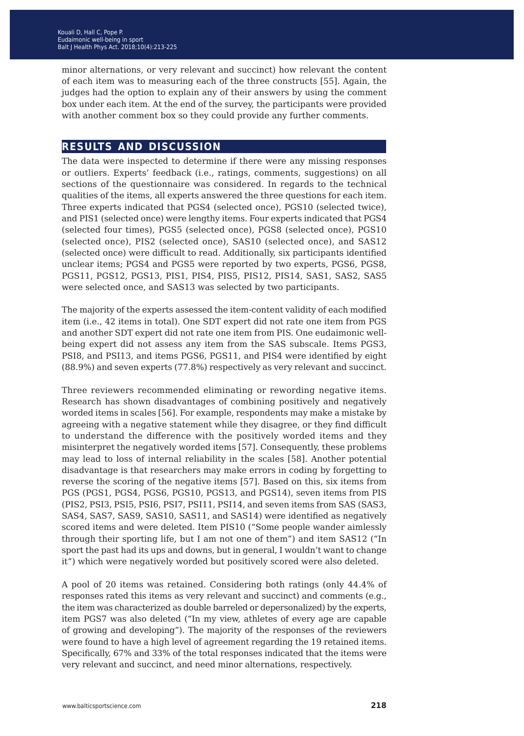minor alternations, or very relevant and succinct) how relevant the content of each item was to measuring each of the three constructs [55]. Again, the judges had the option to explain any of their answers by using the comment box under each item. At the end of the survey, the participants were provided with another comment box so they could provide any further comments.

## **results and discussion**

The data were inspected to determine if there were any missing responses or outliers. Experts' feedback (i.e., ratings, comments, suggestions) on all sections of the questionnaire was considered. In regards to the technical qualities of the items, all experts answered the three questions for each item. Three experts indicated that PGS4 (selected once), PGS10 (selected twice), and PIS1 (selected once) were lengthy items. Four experts indicated that PGS4 (selected four times), PGS5 (selected once), PGS8 (selected once), PGS10 (selected once), PIS2 (selected once), SAS10 (selected once), and SAS12 (selected once) were difficult to read. Additionally, six participants identified unclear items; PGS4 and PGS5 were reported by two experts, PGS6, PGS8, PGS11, PGS12, PGS13, PIS1, PIS4, PIS5, PIS12, PIS14, SAS1, SAS2, SAS5 were selected once, and SAS13 was selected by two participants.

The majority of the experts assessed the item-content validity of each modified item (i.e., 42 items in total). One SDT expert did not rate one item from PGS and another SDT expert did not rate one item from PIS. One eudaimonic wellbeing expert did not assess any item from the SAS subscale. Items PGS3, PSI8, and PSI13, and items PGS6, PGS11, and PIS4 were identified by eight (88.9%) and seven experts (77.8%) respectively as very relevant and succinct.

Three reviewers recommended eliminating or rewording negative items. Research has shown disadvantages of combining positively and negatively worded items in scales [56]. For example, respondents may make a mistake by agreeing with a negative statement while they disagree, or they find difficult to understand the difference with the positively worded items and they misinterpret the negatively worded items [57]. Consequently, these problems may lead to loss of internal reliability in the scales [58]. Another potential disadvantage is that researchers may make errors in coding by forgetting to reverse the scoring of the negative items [57]. Based on this, six items from PGS (PGS1, PGS4, PGS6, PGS10, PGS13, and PGS14), seven items from PIS (PIS2, PSI3, PSI5, PSI6, PSI7, PSI11, PSI14, and seven items from SAS (SAS3, SAS4, SAS7, SAS9, SAS10, SAS11, and SAS14) were identified as negatively scored items and were deleted. Item PIS10 ("Some people wander aimlessly through their sporting life, but I am not one of them") and item SAS12 ("In sport the past had its ups and downs, but in general, I wouldn't want to change it") which were negatively worded but positively scored were also deleted.

A pool of 20 items was retained. Considering both ratings (only 44.4% of responses rated this items as very relevant and succinct) and comments (e.g., the item was characterized as double barreled or depersonalized) by the experts, item PGS7 was also deleted ("In my view, athletes of every age are capable of growing and developing"). The majority of the responses of the reviewers were found to have a high level of agreement regarding the 19 retained items. Specifically, 67% and 33% of the total responses indicated that the items were very relevant and succinct, and need minor alternations, respectively.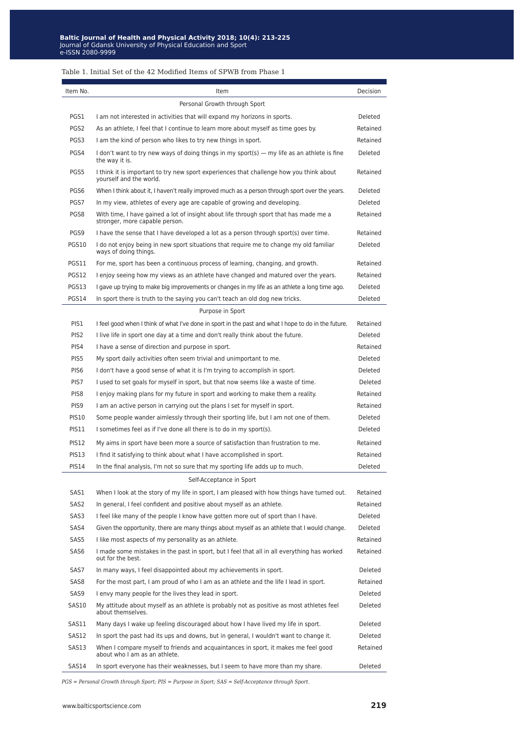#### Table 1. Initial Set of the 42 Modified Items of SPWB from Phase 1

| Item No.         | Item                                                                                                                    | Decision |
|------------------|-------------------------------------------------------------------------------------------------------------------------|----------|
|                  | Personal Growth through Sport                                                                                           |          |
| PGS1             | I am not interested in activities that will expand my horizons in sports.                                               | Deleted  |
| PGS <sub>2</sub> | As an athlete, I feel that I continue to learn more about myself as time goes by.                                       | Retained |
| PGS3             | I am the kind of person who likes to try new things in sport.                                                           | Retained |
| PGS4             | I don't want to try new ways of doing things in my sport(s) — my life as an athlete is fine<br>the way it is.           | Deleted  |
| PGS5             | I think it is important to try new sport experiences that challenge how you think about<br>yourself and the world.      | Retained |
| PGS6             | When I think about it, I haven't really improved much as a person through sport over the years.                         | Deleted  |
| PGS7             | In my view, athletes of every age are capable of growing and developing.                                                | Deleted  |
| PGS8             | With time, I have gained a lot of insight about life through sport that has made me a<br>stronger, more capable person. | Retained |
| PGS9             | I have the sense that I have developed a lot as a person through sport(s) over time.                                    | Retained |
| PGS10            | I do not enjoy being in new sport situations that require me to change my old familiar<br>ways of doing things.         | Deleted  |
| PGS11            | For me, sport has been a continuous process of learning, changing, and growth.                                          | Retained |
| PGS12            | I enjoy seeing how my views as an athlete have changed and matured over the years.                                      | Retained |
| PGS13            | I gave up trying to make big improvements or changes in my life as an athlete a long time ago.                          | Deleted  |
| PGS14            | In sport there is truth to the saying you can't teach an old dog new tricks.                                            | Deleted  |
|                  | Purpose in Sport                                                                                                        |          |
| PIS1             | I feel good when I think of what I've done in sport in the past and what I hope to do in the future.                    | Retained |
| PIS <sub>2</sub> | I live life in sport one day at a time and don't really think about the future.                                         | Deleted  |
| PIS4             | I have a sense of direction and purpose in sport.                                                                       | Retained |
| PIS5             | My sport daily activities often seem trivial and unimportant to me.                                                     | Deleted  |
| PIS <sub>6</sub> | I don't have a good sense of what it is I'm trying to accomplish in sport.                                              | Deleted  |
| PIS7             | I used to set goals for myself in sport, but that now seems like a waste of time.                                       | Deleted  |
| PIS8             | I enjoy making plans for my future in sport and working to make them a reality.                                         | Retained |
| PIS9             | I am an active person in carrying out the plans I set for myself in sport.                                              | Retained |
| <b>PIS10</b>     | Some people wander aimlessly through their sporting life, but I am not one of them.                                     | Deleted  |
| PIS11            | I sometimes feel as if I've done all there is to do in my sport(s).                                                     | Deleted  |
| <b>PIS12</b>     | My aims in sport have been more a source of satisfaction than frustration to me.                                        | Retained |
| PIS13            | I find it satisfying to think about what I have accomplished in sport.                                                  | Retained |
| <b>PIS14</b>     | In the final analysis, I'm not so sure that my sporting life adds up to much.                                           | Deleted  |
|                  | Self-Acceptance in Sport                                                                                                |          |
| SAS1             | When I look at the story of my life in sport, I am pleased with how things have turned out.                             | Retained |
| SAS2             | In general, I feel confident and positive about myself as an athlete.                                                   | Retained |
| SAS3             | I feel like many of the people I know have gotten more out of sport than I have.                                        | Deleted  |
| SAS4             | Given the opportunity, there are many things about myself as an athlete that I would change.                            | Deleted  |
| SAS5             | I like most aspects of my personality as an athlete.                                                                    | Retained |
| SAS6             | I made some mistakes in the past in sport, but I feel that all in all everything has worked<br>out for the best.        | Retained |
| SAS7             | In many ways, I feel disappointed about my achievements in sport.                                                       | Deleted  |
| SAS8             | For the most part, I am proud of who I am as an athlete and the life I lead in sport.                                   | Retained |
| SAS9             | I envy many people for the lives they lead in sport.                                                                    | Deleted  |
| SAS10            | My attitude about myself as an athlete is probably not as positive as most athletes feel<br>about themselves.           | Deleted  |
| SAS11            | Many days I wake up feeling discouraged about how I have lived my life in sport.                                        | Deleted  |
| SAS12            | In sport the past had its ups and downs, but in general, I wouldn't want to change it.                                  | Deleted  |
| SAS13            | When I compare myself to friends and acquaintances in sport, it makes me feel good<br>about who I am as an athlete.     | Retained |
| SAS14            | In sport everyone has their weaknesses, but I seem to have more than my share.                                          | Deleted  |

*PGS = Personal Growth through Sport; PIS = Purpose in Sport; SAS = Self-Acceptance through Sport.*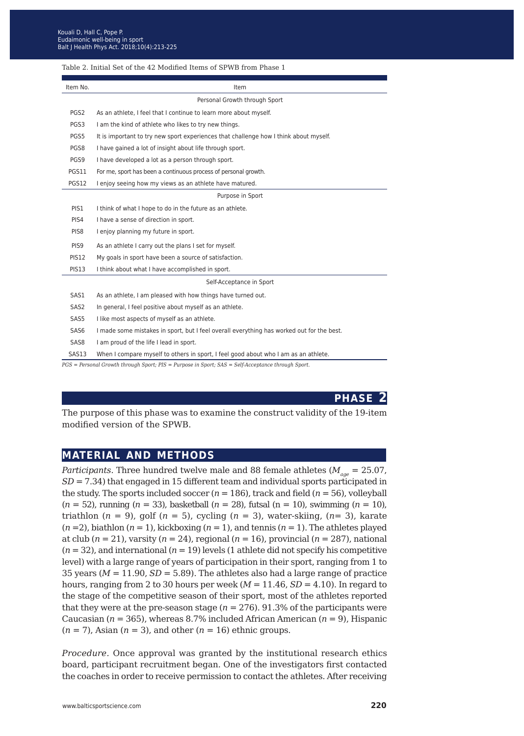#### Table 2. Initial Set of the 42 Modified Items of SPWB from Phase 1

| Item No.                                                                                          | Item                                                                                      |  |  |  |
|---------------------------------------------------------------------------------------------------|-------------------------------------------------------------------------------------------|--|--|--|
|                                                                                                   | Personal Growth through Sport                                                             |  |  |  |
| PGS2                                                                                              | As an athlete, I feel that I continue to learn more about myself.                         |  |  |  |
| PGS3                                                                                              | I am the kind of athlete who likes to try new things.                                     |  |  |  |
| PGS5                                                                                              | It is important to try new sport experiences that challenge how I think about myself.     |  |  |  |
| PGS8                                                                                              | I have gained a lot of insight about life through sport.                                  |  |  |  |
| PGS9                                                                                              | I have developed a lot as a person through sport.                                         |  |  |  |
| PGS11                                                                                             | For me, sport has been a continuous process of personal growth.                           |  |  |  |
| PGS12                                                                                             | I enjoy seeing how my views as an athlete have matured.                                   |  |  |  |
|                                                                                                   | Purpose in Sport                                                                          |  |  |  |
| PIS1                                                                                              | I think of what I hope to do in the future as an athlete.                                 |  |  |  |
| PIS4                                                                                              | I have a sense of direction in sport.                                                     |  |  |  |
| PIS8                                                                                              | I enjoy planning my future in sport.                                                      |  |  |  |
| PIS <sub>9</sub>                                                                                  | As an athlete I carry out the plans I set for myself.                                     |  |  |  |
| <b>PIS12</b>                                                                                      | My goals in sport have been a source of satisfaction.                                     |  |  |  |
| <b>PIS13</b>                                                                                      | I think about what I have accomplished in sport.                                          |  |  |  |
|                                                                                                   | Self-Acceptance in Sport                                                                  |  |  |  |
| SAS1                                                                                              | As an athlete, I am pleased with how things have turned out.                              |  |  |  |
| SAS2                                                                                              | In general, I feel positive about myself as an athlete.                                   |  |  |  |
| SAS5                                                                                              | I like most aspects of myself as an athlete.                                              |  |  |  |
| SAS6                                                                                              | I made some mistakes in sport, but I feel overall everything has worked out for the best. |  |  |  |
| SAS8                                                                                              | I am proud of the life I lead in sport.                                                   |  |  |  |
| SAS13                                                                                             | When I compare myself to others in sport, I feel good about who I am as an athlete.       |  |  |  |
| PGS = Personal Growth through Sport; PIS = Purpose in Sport; SAS = Self-Acceptance through Sport. |                                                                                           |  |  |  |

**phase 2**

The purpose of this phase was to examine the construct validity of the 19-item modified version of the SPWB.

## **material and methods**

*Participants.* Three hundred twelve male and 88 female athletes ( $M_{\text{age}} = 25.07$ , *SD* = 7.34) that engaged in 15 different team and individual sports participated in the study. The sports included soccer  $(n = 186)$ , track and field  $(n = 56)$ , volleyball (*n* = 52), running (*n* = 33), basketball (*n* = 28), futsal (n = 10), swimming (*n* = 10), triathlon  $(n = 9)$ , golf  $(n = 5)$ , cycling  $(n = 3)$ , water-skiing,  $(n = 3)$ , karate  $(n=2)$ , biathlon  $(n=1)$ , kickboxing  $(n=1)$ , and tennis  $(n=1)$ . The athletes played at club (*n* = 21), varsity (*n* = 24), regional (*n* = 16), provincial (*n* = 287), national  $(n = 32)$ , and international  $(n = 19)$  levels (1 athlete did not specify his competitive level) with a large range of years of participation in their sport, ranging from 1 to 35 years ( $M = 11.90$ ,  $SD = 5.89$ ). The athletes also had a large range of practice hours, ranging from 2 to 30 hours per week  $(M = 11.46, SD = 4.10)$ . In regard to the stage of the competitive season of their sport, most of the athletes reported that they were at the pre-season stage  $(n = 276)$ . 91.3% of the participants were Caucasian (*n* = 365), whereas 8.7% included African American (*n* = 9), Hispanic  $(n = 7)$ , Asian  $(n = 3)$ , and other  $(n = 16)$  ethnic groups.

*Procedure.* Once approval was granted by the institutional research ethics board, participant recruitment began. One of the investigators first contacted the coaches in order to receive permission to contact the athletes. After receiving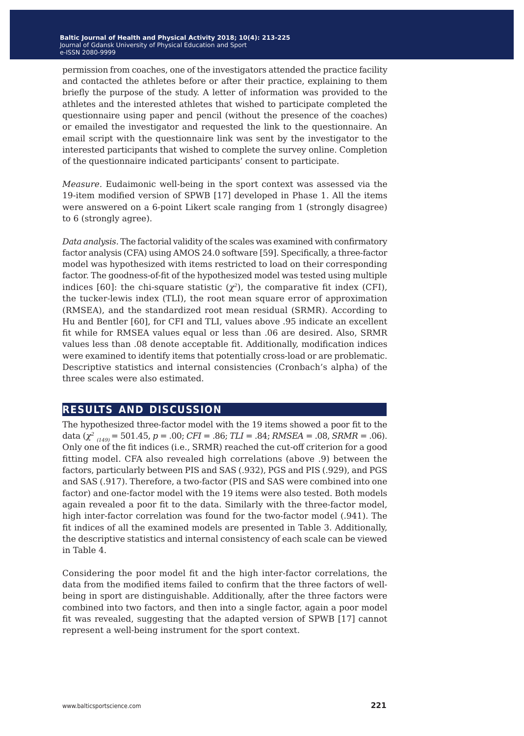permission from coaches, one of the investigators attended the practice facility and contacted the athletes before or after their practice, explaining to them briefly the purpose of the study. A letter of information was provided to the athletes and the interested athletes that wished to participate completed the questionnaire using paper and pencil (without the presence of the coaches) or emailed the investigator and requested the link to the questionnaire. An email script with the questionnaire link was sent by the investigator to the interested participants that wished to complete the survey online. Completion of the questionnaire indicated participants' consent to participate.

*Measure.* Eudaimonic well-being in the sport context was assessed via the 19-item modified version of SPWB [17] developed in Phase 1. All the items were answered on a 6-point Likert scale ranging from 1 (strongly disagree) to 6 (strongly agree).

*Data analysis.* The factorial validity of the scales was examined with confirmatory factor analysis (CFA) using AMOS 24.0 software [59]. Specifically, a three-factor model was hypothesized with items restricted to load on their corresponding factor. The goodness-of-fit of the hypothesized model was tested using multiple indices [60]: the chi-square statistic  $(\chi^2)$ , the comparative fit index (CFI), the tucker-lewis index (TLI), the root mean square error of approximation (RMSEA), and the standardized root mean residual (SRMR). According to Hu and Bentler [60], for CFI and TLI, values above .95 indicate an excellent fit while for RMSEA values equal or less than .06 are desired. Also, SRMR values less than .08 denote acceptable fit. Additionally, modification indices were examined to identify items that potentially cross-load or are problematic. Descriptive statistics and internal consistencies (Cronbach's alpha) of the three scales were also estimated.

# **results and discussion**

The hypothesized three-factor model with the 19 items showed a poor fit to the data (*χ<sup>2</sup> (149)* = 501.45, *p* = .00; *CFI* = .86; *TLI* = .84; *RMSEA* = .08, *SRMR* = .06). Only one of the fit indices (i.e., SRMR) reached the cut-off criterion for a good fitting model. CFA also revealed high correlations (above .9) between the factors, particularly between PIS and SAS (.932), PGS and PIS (.929), and PGS and SAS (.917). Therefore, a two-factor (PIS and SAS were combined into one factor) and one-factor model with the 19 items were also tested. Both models again revealed a poor fit to the data. Similarly with the three-factor model, high inter-factor correlation was found for the two-factor model (.941). The fit indices of all the examined models are presented in Table 3. Additionally, the descriptive statistics and internal consistency of each scale can be viewed in Table 4.

Considering the poor model fit and the high inter-factor correlations, the data from the modified items failed to confirm that the three factors of wellbeing in sport are distinguishable. Additionally, after the three factors were combined into two factors, and then into a single factor, again a poor model fit was revealed, suggesting that the adapted version of SPWB [17] cannot represent a well-being instrument for the sport context.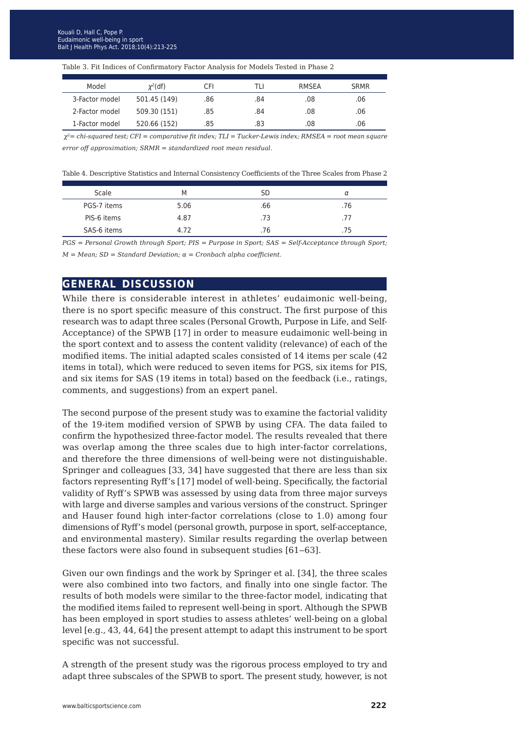| Model          | $\chi^2$ (df) | CFI | TLI | RMSFA | <b>SRMR</b> |
|----------------|---------------|-----|-----|-------|-------------|
| 3-Factor model | 501.45 (149)  | .86 | .84 | .08   | .06         |
| 2-Factor model | 509.30 (151)  | .85 | .84 | .08   | .06         |
| 1-Factor model | 520.66 (152)  | 85  | .83 | .08   | .06         |

Table 3. Fit Indices of Confirmatory Factor Analysis for Models Tested in Phase 2

 *χ<sup>2</sup>= chi-squared test; CFI = comparative fit index; TLI = Tucker-Lewis index; RMSEA = root mean square error off approximation; SRMR = standardized root mean residual.*

Table 4. Descriptive Statistics and Internal Consistency Coefficients of the Three Scales from Phase 2

| Scale       | M    | SD  |     |
|-------------|------|-----|-----|
| PGS-7 items | 5.06 | .66 | .76 |
| PIS-6 items | 4.87 | .73 | .77 |
| SAS-6 items | 4.72 | .76 | 75  |

*PGS = Personal Growth through Sport; PIS = Purpose in Sport; SAS = Self-Acceptance through Sport; M = Mean; SD = Standard Deviation; α = Cronbach alpha coefficient.*

## **general discussion**

While there is considerable interest in athletes' eudaimonic well-being, there is no sport specific measure of this construct. The first purpose of this research was to adapt three scales (Personal Growth, Purpose in Life, and Self-Acceptance) of the SPWB [17] in order to measure eudaimonic well-being in the sport context and to assess the content validity (relevance) of each of the modified items. The initial adapted scales consisted of 14 items per scale (42 items in total), which were reduced to seven items for PGS, six items for PIS, and six items for SAS (19 items in total) based on the feedback (i.e., ratings, comments, and suggestions) from an expert panel.

The second purpose of the present study was to examine the factorial validity of the 19-item modified version of SPWB by using CFA. The data failed to confirm the hypothesized three-factor model. The results revealed that there was overlap among the three scales due to high inter-factor correlations, and therefore the three dimensions of well-being were not distinguishable. Springer and colleagues [33, 34] have suggested that there are less than six factors representing Ryff's [17] model of well-being. Specifically, the factorial validity of Ryff's SPWB was assessed by using data from three major surveys with large and diverse samples and various versions of the construct. Springer and Hauser found high inter-factor correlations (close to 1.0) among four dimensions of Ryff's model (personal growth, purpose in sport, self-acceptance, and environmental mastery). Similar results regarding the overlap between these factors were also found in subsequent studies [61–63].

Given our own findings and the work by Springer et al. [34], the three scales were also combined into two factors, and finally into one single factor. The results of both models were similar to the three-factor model, indicating that the modified items failed to represent well-being in sport. Although the SPWB has been employed in sport studies to assess athletes' well-being on a global level [e.g., 43, 44, 64] the present attempt to adapt this instrument to be sport specific was not successful.

A strength of the present study was the rigorous process employed to try and adapt three subscales of the SPWB to sport. The present study, however, is not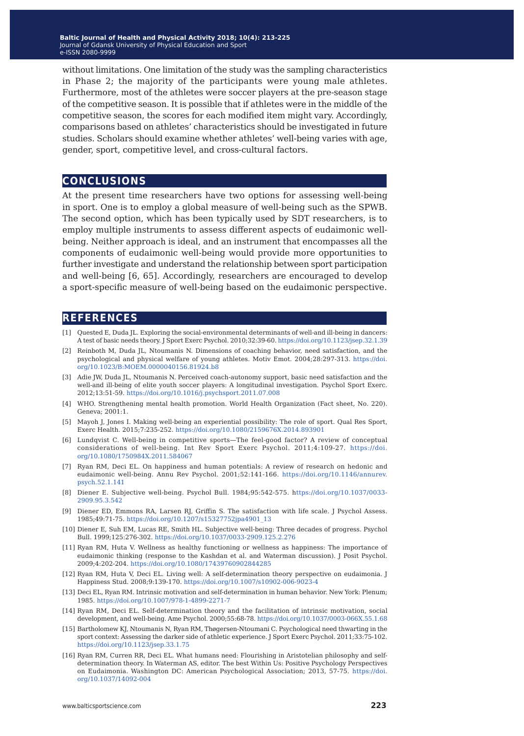without limitations. One limitation of the study was the sampling characteristics in Phase 2; the majority of the participants were young male athletes. Furthermore, most of the athletes were soccer players at the pre-season stage of the competitive season. It is possible that if athletes were in the middle of the competitive season, the scores for each modified item might vary. Accordingly, comparisons based on athletes' characteristics should be investigated in future studies. Scholars should examine whether athletes' well-being varies with age, gender, sport, competitive level, and cross-cultural factors.

### **conclusions**

At the present time researchers have two options for assessing well-being in sport. One is to employ a global measure of well-being such as the SPWB. The second option, which has been typically used by SDT researchers, is to employ multiple instruments to assess different aspects of eudaimonic wellbeing. Neither approach is ideal, and an instrument that encompasses all the components of eudaimonic well-being would provide more opportunities to further investigate and understand the relationship between sport participation and well-being [6, 65]. Accordingly, researchers are encouraged to develop a sport-specific measure of well-being based on the eudaimonic perspective.

### **references**

- [1] Quested E, Duda JL. Exploring the social-environmental determinants of well-and ill-being in dancers: A test of basic needs theory. J Sport Exerc Psychol. 2010;32:39-60.<https://doi.org/10.1123/jsep.32.1.39>
- [2] Reinboth M, Duda JL, Ntoumanis N. Dimensions of coaching behavior, need satisfaction, and the psychological and physical welfare of young athletes. Motiv Emot. 2004;28:297-313. [https://doi.](https://doi.org/10.1023/B:MOEM.0000040156.81924.b8) [org/10.1023/B:MOEM.0000040156.81924.b8](https://doi.org/10.1023/B:MOEM.0000040156.81924.b8)
- [3] Adie JW, Duda JL, Ntoumanis N. Perceived coach-autonomy support, basic need satisfaction and the well-and ill-being of elite youth soccer players: A longitudinal investigation. Psychol Sport Exerc. 2012;13:51-59. <https://doi.org/10.1016/j.psychsport.2011.07.008>
- [4] WHO. Strengthening mental health promotion. World Health Organization (Fact sheet, No. 220). Geneva; 2001:1.
- [5] Mayoh J, Jones I. Making well-being an experiential possibility: The role of sport. Qual Res Sport, Exerc Health. 2015;7:235-252. <https://doi.org/10.1080/2159676X.2014.893901>
- [6] Lundqvist C. Well-being in competitive sports—The feel-good factor? A review of conceptual considerations of well-being. Int Rev Sport Exerc Psychol. 2011;4:109-27. [https://doi.](https://doi.org/10.1080/1750984X.2011.584067) [org/10.1080/1750984X.2011.584067](https://doi.org/10.1080/1750984X.2011.584067)
- [7] Ryan RM, Deci EL. On happiness and human potentials: A review of research on hedonic and eudaimonic well-being. Annu Rev Psychol. 2001;52:141-166. [https://doi.org/10.1146/annurev.](https://doi.org/10.1146/annurev.psych.52.1.141) [psych.52.1.141](https://doi.org/10.1146/annurev.psych.52.1.141)
- [8] Diener E. Subjective well-being. Psychol Bull. 1984;95:542-575. h[ttps://doi.org/10.1037/0033-](https://doi.org/10.1037/0033-2909.95.3.542) [2909.95.3.542](https://doi.org/10.1037/0033-2909.95.3.542)
- [9] Diener ED, Emmons RA, Larsen RJ, Griffin S. The satisfaction with life scale. J Psychol Assess. 1985;49:71-75. [https://doi.org/10.1207/s15327752jpa4901\\_13](https://doi.org/10.1207/s15327752jpa4901_13)
- [10] Diener E, Suh EM, Lucas RE, Smith HL. Subjective well-being: Three decades of progress. Psychol Bull. 1999;125:276-302. <https://doi.org/10.1037/0033-2909.125.2.276>
- [11] Ryan RM, Huta V. Wellness as healthy functioning or wellness as happiness: The importance of eudaimonic thinking (response to the Kashdan et al. and Waterman discussion). J Posit Psychol. 2009;4:202-204.<https://doi.org/10.1080/17439760902844285>
- [12] Ryan RM, Huta V, Deci EL. Living well: A self-determination theory perspective on eudaimonia. J Happiness Stud. 2008;9:139-170. <https://doi.org/10.1007/s10902-006-9023-4>
- [13] Deci EL, Ryan RM. Intrinsic motivation and self-determination in human behavior. New York: Plenum; 1985.<https://doi.org/10.1007/978-1-4899-2271-7>
- [14] Ryan RM, Deci EL. Self-determination theory and the facilitation of intrinsic motivation, social development, and well-being. Ame Psychol. 2000;55:68-78.<https://doi.org/10.1037/0003-066X.55.1.68>
- [15] Bartholomew KJ, Ntoumanis N, Ryan RM, Thøgersen-Ntoumani C. Psychological need thwarting in the sport context: Assessing the darker side of athletic experience. J Sport Exerc Psychol. 2011;33:75-102. <https://doi.org/10.1123/jsep.33.1.75>
- [16] Ryan RM, Curren RR, Deci EL. What humans need: Flourishing in Aristotelian philosophy and selfdetermination theory. In Waterman AS, editor. The best Within Us: Positive Psychology Perspectives on Eudaimonia. Washington DC: American Psychological Association; 2013, 57-75. [https://doi.](https://doi.org/10.1037/14092-004) [org/10.1037/14092-004](https://doi.org/10.1037/14092-004)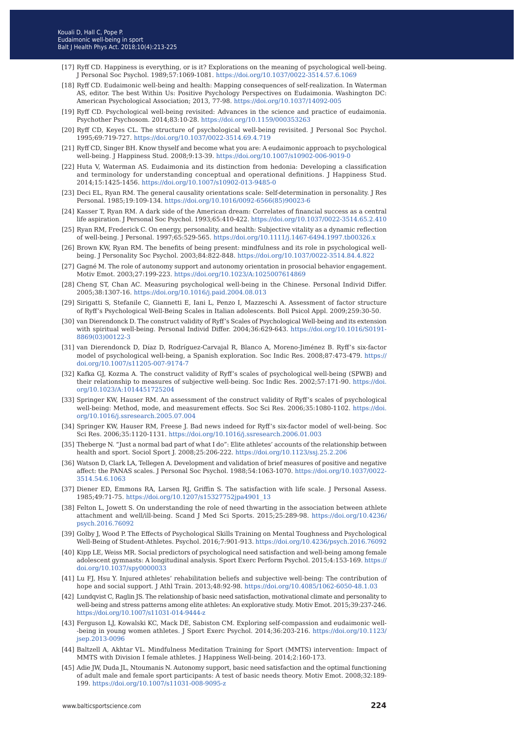- [17] Ryff CD. Happiness is everything, or is it? Explorations on the meaning of psychological well-being. J Personal Soc Psychol. 1989;57:1069-1081.<https://doi.org/10.1037/0022-3514.57.6.1069>
- [18] Ryff CD. Eudaimonic well-being and health: Mapping consequences of self-realization. In Waterman AS, editor. The best Within Us: Positive Psychology Perspectives on Eudaimonia. Washington DC: American Psychological Association; 2013, 77-98. <https://doi.org/10.1037/14092-005>
- [19] Ryff CD. Psychological well-being revisited: Advances in the science and practice of eudaimonia. Psychother Psychosom. 2014;83:10-28. <https://doi.org/10.1159/000353263>
- [20] Ryff CD, Keyes CL. The structure of psychological well-being revisited. J Personal Soc Psychol. 1995;69:719-727.<https://doi.org/10.1037/0022-3514.69.4.719>
- [21] Ryff CD, Singer BH. Know thyself and become what you are: A eudaimonic approach to psychological well-being. J Happiness Stud. 2008;9:13-39. <https://doi.org/10.1007/s10902-006-9019-0>
- [22] Huta V, Waterman AS. Eudaimonia and its distinction from hedonia: Developing a classification and terminology for understanding conceptual and operational definitions. J Happiness Stud. 2014;15:1425-1456. <https://doi.org/10.1007/s10902-013-9485-0>
- [23] Deci EL, Ryan RM. The general causality orientations scale: Self-determination in personality. J Res Personal. 1985;19:109-134. [https://doi.org/10.1016/0092-6566\(85\)90023-6](https://doi.org/10.1016/0092-6566(85)90023-6)
- [24] Kasser T, Ryan RM. A dark side of the American dream: Correlates of financial success as a central life aspiration. J Personal Soc Psychol. 1993;65:410-422.<https://doi.org/10.1037/0022-3514.65.2.410>
- [25] Ryan RM, Frederick C. On energy, personality, and health: Subjective vitality as a dynamic reflection of well‐being. J Personal. 1997;65:529-565.<https://doi.org/10.1111/j.1467-6494.1997.tb00326.x>
- [26] Brown KW, Ryan RM. The benefits of being present: mindfulness and its role in psychological wellbeing. J Personality Soc Psychol. 2003;84:822-848. <https://doi.org/10.1037/0022-3514.84.4.822>
- [27] Gagné M. The role of autonomy support and autonomy orientation in prosocial behavior engagement. Motiv Emot. 2003;27:199-223. <https://doi.org/10.1023/A:1025007614869>
- [28] Cheng ST, Chan AC. Measuring psychological well-being in the Chinese. Personal Individ Differ. 2005;38:1307-16.<https://doi.org/10.1016/j.paid.2004.08.013>
- [29] Sirigatti S, Stefanile C, Giannetti E, Iani L, Penzo I, Mazzeschi A. Assessment of factor structure of Ryff's Psychological Well-Being Scales in Italian adolescents. Boll Psicol Appl. 2009;259:30-50.
- [30] van Dierendonck D. The construct validity of Ryff's Scales of Psychological Well-being and its extension with spiritual well-being. Personal Individ Differ. 2004;36:629-643. [https://doi.org/10.1016/S0191-](https://doi.org/10.1016/S0191-8869(03)00122-3) [8869\(03\)00122-3](https://doi.org/10.1016/S0191-8869(03)00122-3)
- [31] van Dierendonck D, Díaz D, Rodríguez-Carvajal R, Blanco A, Moreno-Jiménez B. Ryff's six-factor model of psychological well-being, a Spanish exploration. Soc Indic Res. 2008;87:473-479. [https://](https://doi.org/10.1007/s11205-007-9174-7) [doi.org/10.1007/s11205-007-9174-7](https://doi.org/10.1007/s11205-007-9174-7)
- [32] Kafka GJ, Kozma A. The construct validity of Ryff's scales of psychological well-being (SPWB) and their relationship to measures of subjective well-being. Soc Indic Res. 2002;57:171-90. [https://doi.](https://doi.org/10.1023/A:1014451725204) [org/10.1023/A:1014451725204](https://doi.org/10.1023/A:1014451725204)
- [33] Springer KW, Hauser RM. An assessment of the construct validity of Ryff's scales of psychological well-being: Method, mode, and measurement effects. Soc Sci Res. 2006;35:1080-1102. [https://doi.](https://doi.org/10.1016/j.ssresearch.2005.07.004) [org/10.1016/j.ssresearch.2005.07.004](https://doi.org/10.1016/j.ssresearch.2005.07.004)
- [34] Springer KW, Hauser RM, Freese J. Bad news indeed for Ryff's six-factor model of well-being. Soc Sci Res. 2006;35:1120-1131. <https://doi.org/10.1016/j.ssresearch.2006.01.003>
- [35] Theberge N. "Just a normal bad part of what I do": Elite athletes' accounts of the relationship between health and sport. Sociol Sport J. 2008;25:206-222.<https://doi.org/10.1123/ssj.25.2.206>
- [36] Watson D, Clark LA, Tellegen A. Development and validation of brief measures of positive and negative affect: the PANAS scales. J Personal Soc Psychol. 1988;54:1063-1070. [https://doi.org/10.1037/0022-](https://doi.org/10.1037/0022-3514.54.6.1063) [3514.54.6.1063](https://doi.org/10.1037/0022-3514.54.6.1063)
- [37] Diener ED, Emmons RA, Larsen RJ, Griffin S. The satisfaction with life scale. J Personal Assess. 1985;49:71-75. [https://doi.org/10.1207/s15327752jpa4901\\_13](https://doi.org/10.1207/s15327752jpa4901_13)
- [38] Felton L, Jowett S. On understanding the role of need thwarting in the association between athlete attachment and well/ill‐being. Scand J Med Sci Sports. 2015;25:289-98. [https://doi.org/10.4236/](https://doi.org/10.4236/psych.2016.76092) [psych.2016.76092](https://doi.org/10.4236/psych.2016.76092)
- [39] Golby J, Wood P. The Effects of Psychological Skills Training on Mental Toughness and Psychological Well-Being of Student-Athletes. Psychol. 2016;7:901-913.<https://doi.org/10.4236/psych.2016.76092>
- [40] Kipp LE, Weiss MR. Social predictors of psychological need satisfaction and well-being among female adolescent gymnasts: A longitudinal analysis. Sport Exerc Perform Psychol. 2015;4:153-169. [https://](https://doi.org/10.1037/spy0000033) [doi.org/10.1037/spy0000033](https://doi.org/10.1037/spy0000033)
- [41] Lu FJ, Hsu Y. Injured athletes' rehabilitation beliefs and subjective well-being: The contribution of hope and social support. J Athl Train. 2013;48:92-98. <https://doi.org/10.4085/1062-6050-48.1.03>
- [42] Lundqvist C, Raglin JS. The relationship of basic need satisfaction, motivational climate and personality to well-being and stress patterns among elite athletes: An explorative study. Motiv Emot. 2015;39:237-246. <https://doi.org/10.1007/s11031-014-9444-z>
- [43] Ferguson LJ, Kowalski KC, Mack DE, Sabiston CM. Exploring self-compassion and eudaimonic well- -being in young women athletes. J Sport Exerc Psychol. 2014;36:203-216. [https://doi.org/10.1123/](https://doi.org/10.1123/jsep.2013-0096) [jsep.2013-0096](https://doi.org/10.1123/jsep.2013-0096)
- [44] Baltzell A, Akhtar VL. Mindfulness Meditation Training for Sport (MMTS) intervention: Impact of MMTS with Division I female athletes. J Happiness Well-being. 2014;2:160-173.
- [45] Adie JW, Duda JL, Ntoumanis N. Autonomy support, basic need satisfaction and the optimal functioning of adult male and female sport participants: A test of basic needs theory. Motiv Emot. 2008;32:189- 199. <https://doi.org/10.1007/s11031-008-9095-z>